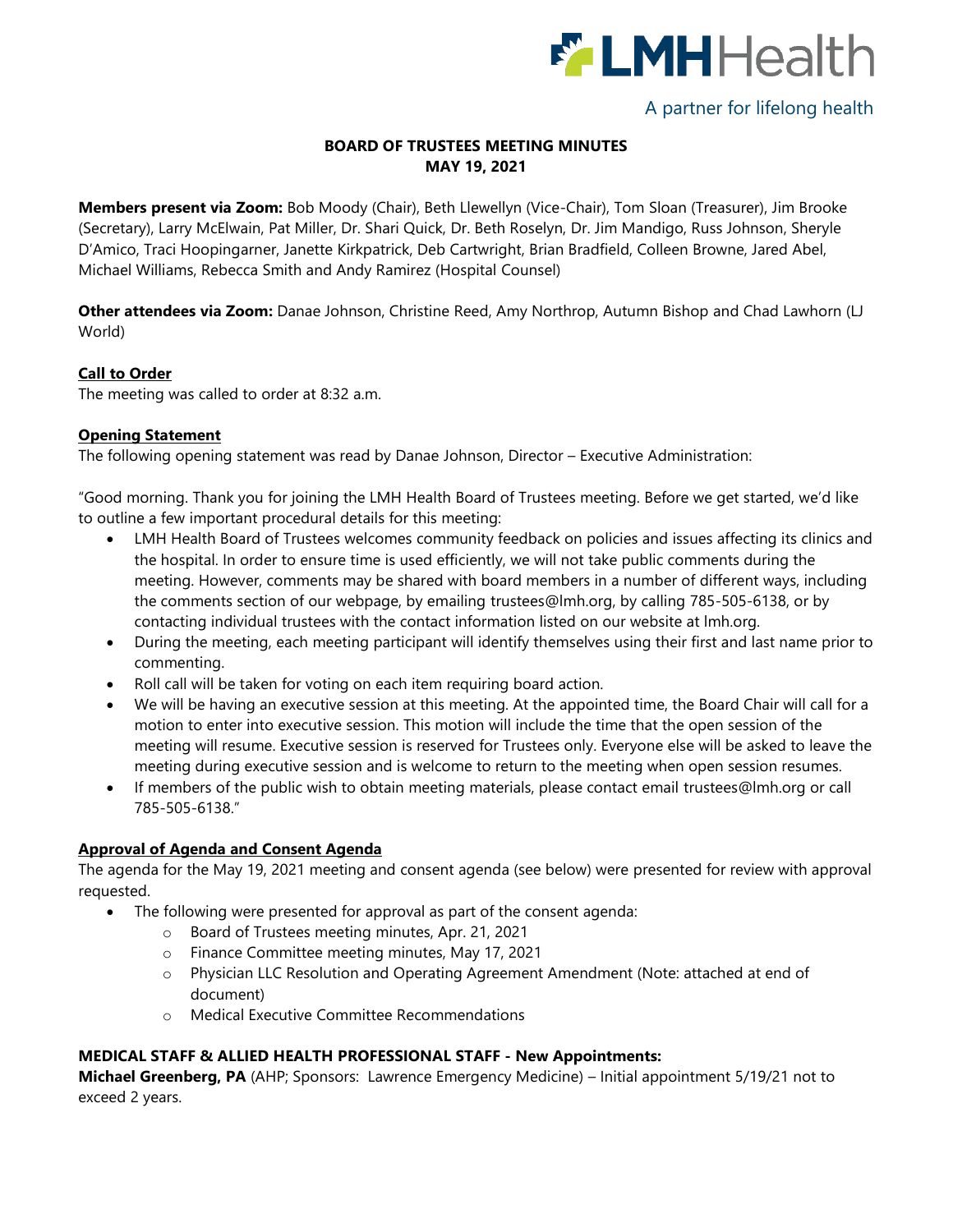

# A partner for lifelong health

## **BOARD OF TRUSTEES MEETING MINUTES MAY 19, 2021**

**Members present via Zoom:** Bob Moody (Chair), Beth Llewellyn (Vice-Chair), Tom Sloan (Treasurer), Jim Brooke (Secretary), Larry McElwain, Pat Miller, Dr. Shari Quick, Dr. Beth Roselyn, Dr. Jim Mandigo, Russ Johnson, Sheryle D'Amico, Traci Hoopingarner, Janette Kirkpatrick, Deb Cartwright, Brian Bradfield, Colleen Browne, Jared Abel, Michael Williams, Rebecca Smith and Andy Ramirez (Hospital Counsel)

**Other attendees via Zoom:** Danae Johnson, Christine Reed, Amy Northrop, Autumn Bishop and Chad Lawhorn (LJ World)

### **Call to Order**

The meeting was called to order at 8:32 a.m.

### **Opening Statement**

The following opening statement was read by Danae Johnson, Director – Executive Administration:

"Good morning. Thank you for joining the LMH Health Board of Trustees meeting. Before we get started, we'd like to outline a few important procedural details for this meeting:

- LMH Health Board of Trustees welcomes community feedback on policies and issues affecting its clinics and the hospital. In order to ensure time is used efficiently, we will not take public comments during the meeting. However, comments may be shared with board members in a number of different ways, including the comments section of our webpage, by emailing [trustees@lmh.org,](mailto:trustees@lmh.org) by calling 785-505-6138, or by contacting individual trustees with the contact information listed on our website at lmh.org.
- During the meeting, each meeting participant will identify themselves using their first and last name prior to commenting.
- Roll call will be taken for voting on each item requiring board action.
- We will be having an executive session at this meeting. At the appointed time, the Board Chair will call for a motion to enter into executive session. This motion will include the time that the open session of the meeting will resume. Executive session is reserved for Trustees only. Everyone else will be asked to leave the meeting during executive session and is welcome to return to the meeting when open session resumes.
- If members of the public wish to obtain meeting materials, please contact email [trustees@lmh.org](mailto:trustees@lmh.org) or call 785-505-6138."

### **Approval of Agenda and Consent Agenda**

The agenda for the May 19, 2021 meeting and consent agenda (see below) were presented for review with approval requested.

- The following were presented for approval as part of the consent agenda:
	- o Board of Trustees meeting minutes, Apr. 21, 2021
	- o Finance Committee meeting minutes, May 17, 2021
	- o Physician LLC Resolution and Operating Agreement Amendment (Note: attached at end of document)
	- o Medical Executive Committee Recommendations

#### **MEDICAL STAFF & ALLIED HEALTH PROFESSIONAL STAFF - New Appointments:**

**Michael Greenberg, PA** (AHP; Sponsors: Lawrence Emergency Medicine) – Initial appointment 5/19/21 not to exceed 2 years.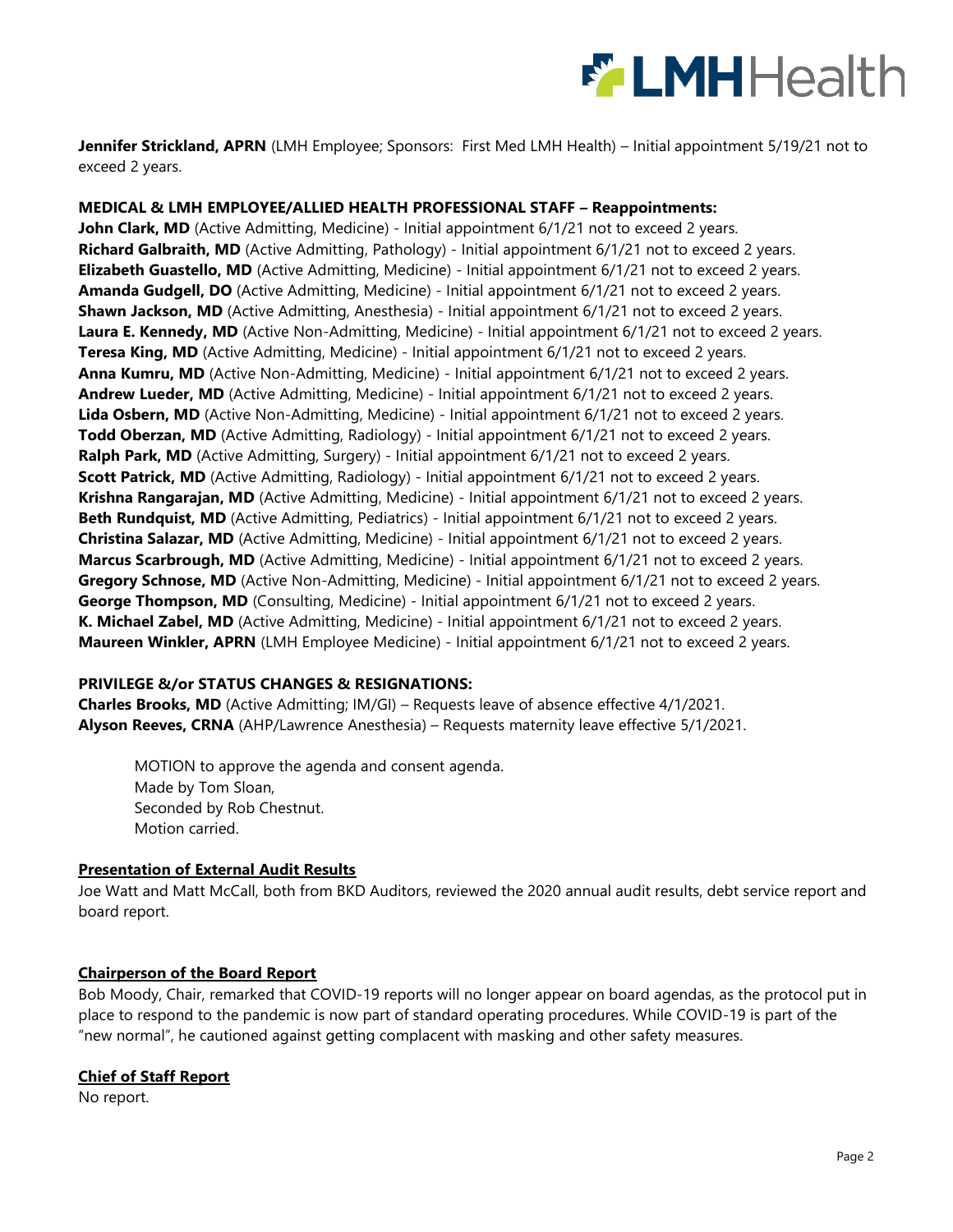

**Jennifer Strickland, APRN** (LMH Employee; Sponsors: First Med LMH Health) – Initial appointment 5/19/21 not to exceed 2 years.

### **MEDICAL & LMH EMPLOYEE/ALLIED HEALTH PROFESSIONAL STAFF – Reappointments:**

**John Clark, MD** (Active Admitting, Medicine) - Initial appointment 6/1/21 not to exceed 2 years. **Richard Galbraith, MD** (Active Admitting, Pathology) - Initial appointment 6/1/21 not to exceed 2 years. **Elizabeth Guastello, MD** (Active Admitting, Medicine) - Initial appointment 6/1/21 not to exceed 2 years. **Amanda Gudgell, DO** (Active Admitting, Medicine) - Initial appointment 6/1/21 not to exceed 2 years. **Shawn Jackson, MD** (Active Admitting, Anesthesia) - Initial appointment 6/1/21 not to exceed 2 years. Laura E. Kennedy, MD (Active Non-Admitting, Medicine) - Initial appointment 6/1/21 not to exceed 2 years. **Teresa King, MD** (Active Admitting, Medicine) - Initial appointment 6/1/21 not to exceed 2 years. **Anna Kumru, MD** (Active Non-Admitting, Medicine) - Initial appointment 6/1/21 not to exceed 2 years. **Andrew Lueder, MD** (Active Admitting, Medicine) - Initial appointment 6/1/21 not to exceed 2 years. **Lida Osbern, MD** (Active Non-Admitting, Medicine) - Initial appointment 6/1/21 not to exceed 2 years. **Todd Oberzan, MD** (Active Admitting, Radiology) - Initial appointment 6/1/21 not to exceed 2 years. **Ralph Park, MD** (Active Admitting, Surgery) - Initial appointment 6/1/21 not to exceed 2 years. **Scott Patrick, MD** (Active Admitting, Radiology) - Initial appointment 6/1/21 not to exceed 2 years. **Krishna Rangarajan, MD** (Active Admitting, Medicine) - Initial appointment 6/1/21 not to exceed 2 years. **Beth Rundquist, MD** (Active Admitting, Pediatrics) - Initial appointment 6/1/21 not to exceed 2 years. **Christina Salazar, MD** (Active Admitting, Medicine) - Initial appointment 6/1/21 not to exceed 2 years. **Marcus Scarbrough, MD** (Active Admitting, Medicine) - Initial appointment 6/1/21 not to exceed 2 years. Gregory Schnose, MD (Active Non-Admitting, Medicine) - Initial appointment 6/1/21 not to exceed 2 years. **George Thompson, MD** (Consulting, Medicine) - Initial appointment 6/1/21 not to exceed 2 years. **K. Michael Zabel, MD** (Active Admitting, Medicine) - Initial appointment 6/1/21 not to exceed 2 years. **Maureen Winkler, APRN** (LMH Employee Medicine) - Initial appointment 6/1/21 not to exceed 2 years.

### **PRIVILEGE &/or STATUS CHANGES & RESIGNATIONS:**

**Charles Brooks, MD** (Active Admitting; IM/GI) – Requests leave of absence effective 4/1/2021. **Alyson Reeves, CRNA** (AHP/Lawrence Anesthesia) – Requests maternity leave effective 5/1/2021.

MOTION to approve the agenda and consent agenda. Made by Tom Sloan, Seconded by Rob Chestnut. Motion carried.

### **Presentation of External Audit Results**

Joe Watt and Matt McCall, both from BKD Auditors, reviewed the 2020 annual audit results, debt service report and board report.

### **Chairperson of the Board Report**

Bob Moody, Chair, remarked that COVID-19 reports will no longer appear on board agendas, as the protocol put in place to respond to the pandemic is now part of standard operating procedures. While COVID-19 is part of the "new normal", he cautioned against getting complacent with masking and other safety measures.

### **Chief of Staff Report**

No report.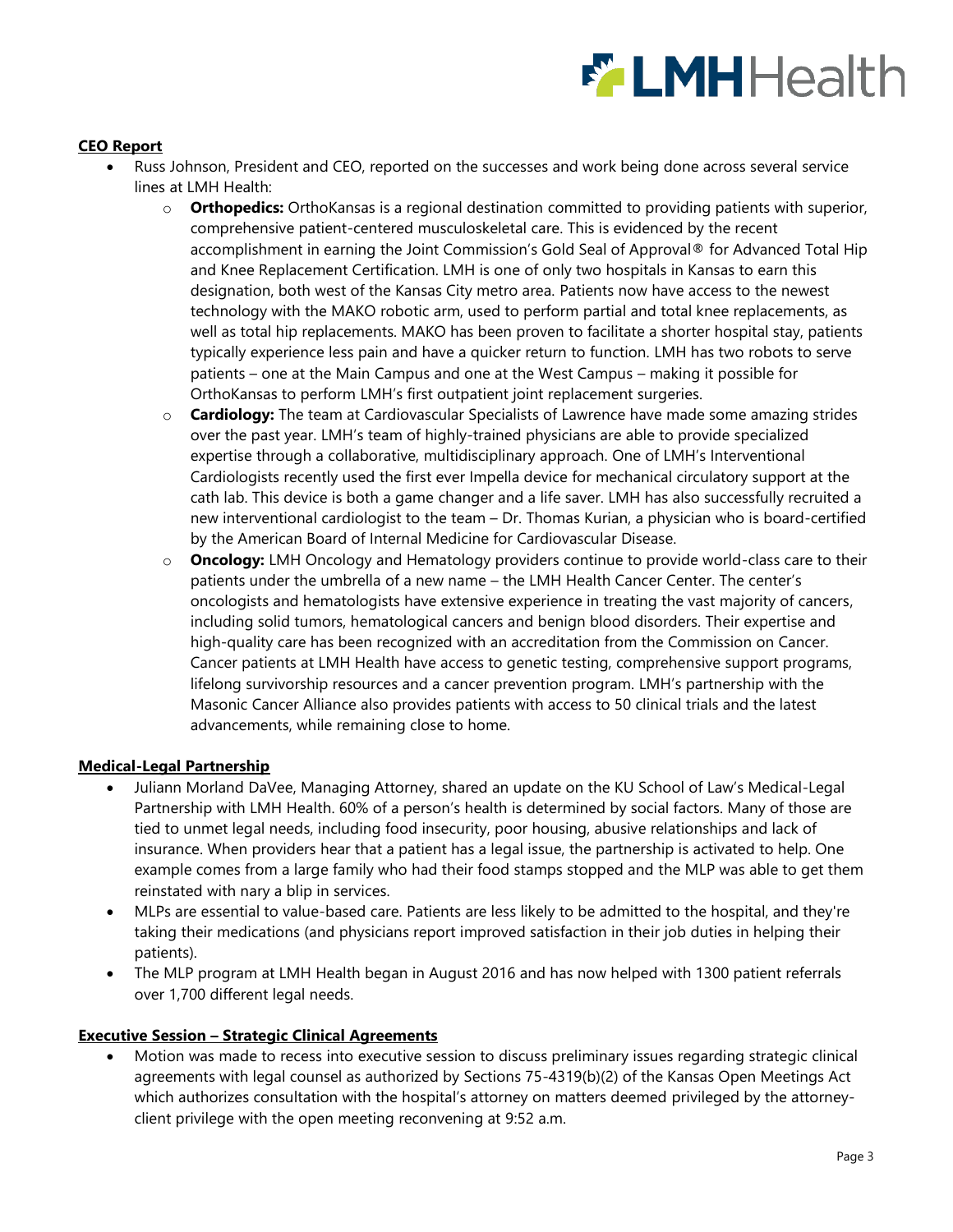# **ELMH**Health

## **CEO Report**

- Russ Johnson, President and CEO, reported on the successes and work being done across several service lines at LMH Health:
	- o **Orthopedics:** OrthoKansas is a regional destination committed to providing patients with superior, comprehensive patient-centered musculoskeletal care. This is evidenced by the recent accomplishment in earning the Joint Commission's Gold Seal of Approval® for Advanced Total Hip and Knee Replacement Certification. LMH is one of only two hospitals in Kansas to earn this designation, both west of the Kansas City metro area. Patients now have access to the newest technology with the MAKO robotic arm, used to perform partial and total knee replacements, as well as total hip replacements. MAKO has been proven to facilitate a shorter hospital stay, patients typically experience less pain and have a quicker return to function. LMH has two robots to serve patients – one at the Main Campus and one at the West Campus – making it possible for OrthoKansas to perform LMH's first outpatient joint replacement surgeries.
	- o **Cardiology:** The team at Cardiovascular Specialists of Lawrence have made some amazing strides over the past year. LMH's team of highly-trained physicians are able to provide specialized expertise through a collaborative, multidisciplinary approach. One of LMH's Interventional Cardiologists recently used the first ever Impella device for mechanical circulatory support at the cath lab. This device is both a game changer and a life saver. LMH has also successfully recruited a new interventional cardiologist to the team – Dr. Thomas Kurian, a physician who is board-certified by the American Board of Internal Medicine for Cardiovascular Disease.
	- o **Oncology:** LMH Oncology and Hematology providers continue to provide world-class care to their patients under the umbrella of a new name – the LMH Health Cancer Center. The center's oncologists and hematologists have extensive experience in treating the vast majority of cancers, including solid tumors, hematological cancers and benign blood disorders. Their expertise and high-quality care has been recognized with an accreditation from the Commission on Cancer. Cancer patients at LMH Health have access to genetic testing, comprehensive support programs, lifelong survivorship resources and a cancer prevention program. LMH's partnership with the Masonic Cancer Alliance also provides patients with access to 50 clinical trials and the latest advancements, while remaining close to home.

### **Medical-Legal Partnership**

- Juliann Morland DaVee, Managing Attorney, shared an update on the KU School of Law's Medical-Legal Partnership with LMH Health. 60% of a person's health is determined by social factors. Many of those are tied to unmet legal needs, including food insecurity, poor housing, abusive relationships and lack of insurance. When providers hear that a patient has a legal issue, the partnership is activated to help. One example comes from a large family who had their food stamps stopped and the MLP was able to get them reinstated with nary a blip in services.
- MLPs are essential to value-based care. Patients are less likely to be admitted to the hospital, and they're taking their medications (and physicians report improved satisfaction in their job duties in helping their patients).
- The MLP program at LMH Health began in August 2016 and has now helped with 1300 patient referrals over 1,700 different legal needs.

### **Executive Session – Strategic Clinical Agreements**

 Motion was made to recess into executive session to discuss preliminary issues regarding strategic clinical agreements with legal counsel as authorized by Sections 75-4319(b)(2) of the Kansas Open Meetings Act which authorizes consultation with the hospital's attorney on matters deemed privileged by the attorneyclient privilege with the open meeting reconvening at 9:52 a.m.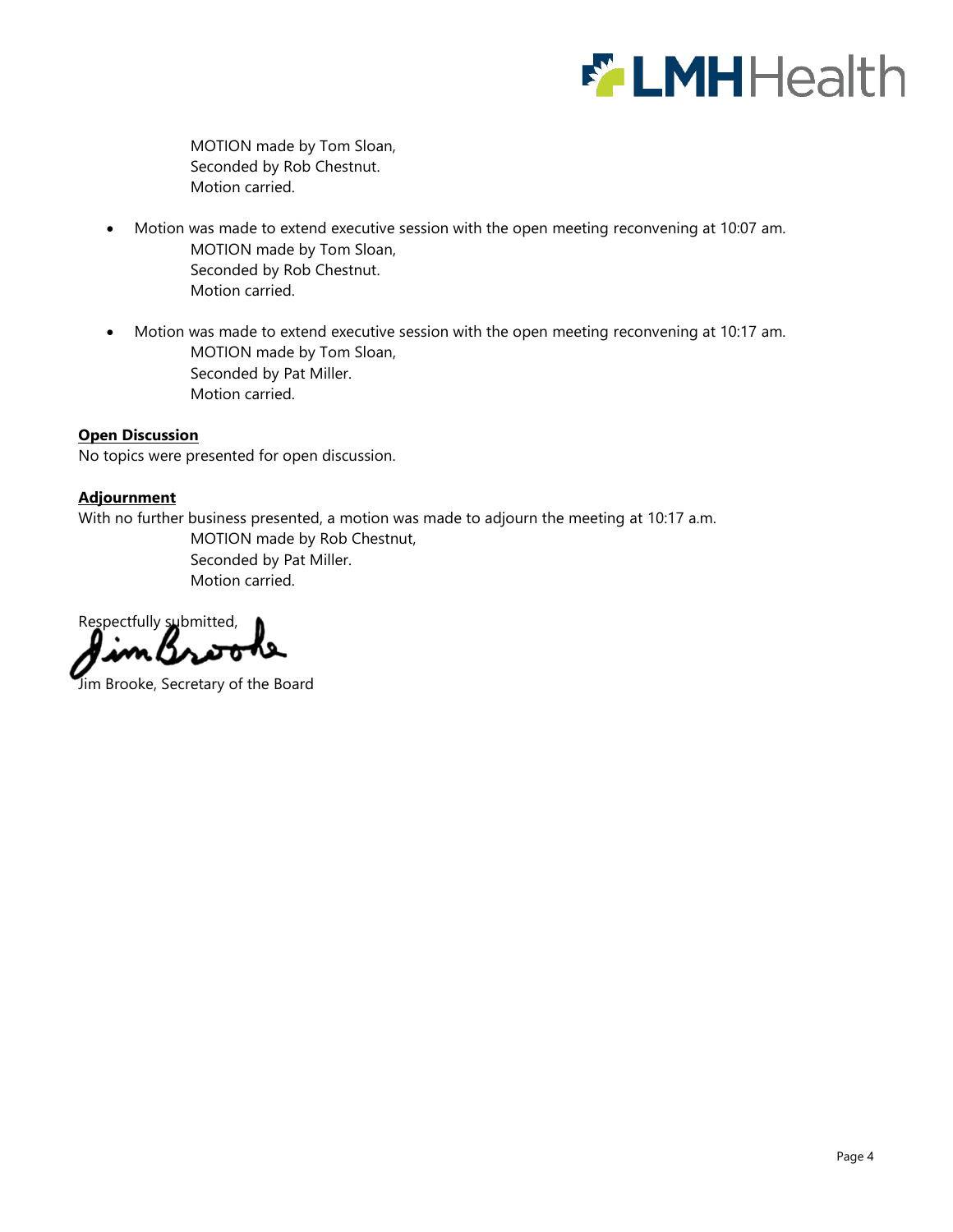

MOTION made by Tom Sloan, Seconded by Rob Chestnut. Motion carried.

- Motion was made to extend executive session with the open meeting reconvening at 10:07 am. MOTION made by Tom Sloan, Seconded by Rob Chestnut. Motion carried.
- Motion was made to extend executive session with the open meeting reconvening at 10:17 am. MOTION made by Tom Sloan, Seconded by Pat Miller. Motion carried.

### **Open Discussion**

No topics were presented for open discussion.

### **Adjournment**

With no further business presented, a motion was made to adjourn the meeting at 10:17 a.m.

MOTION made by Rob Chestnut, Seconded by Pat Miller. Motion carried.

Respectfully submitted,

Jim Brooke, Secretary of the Board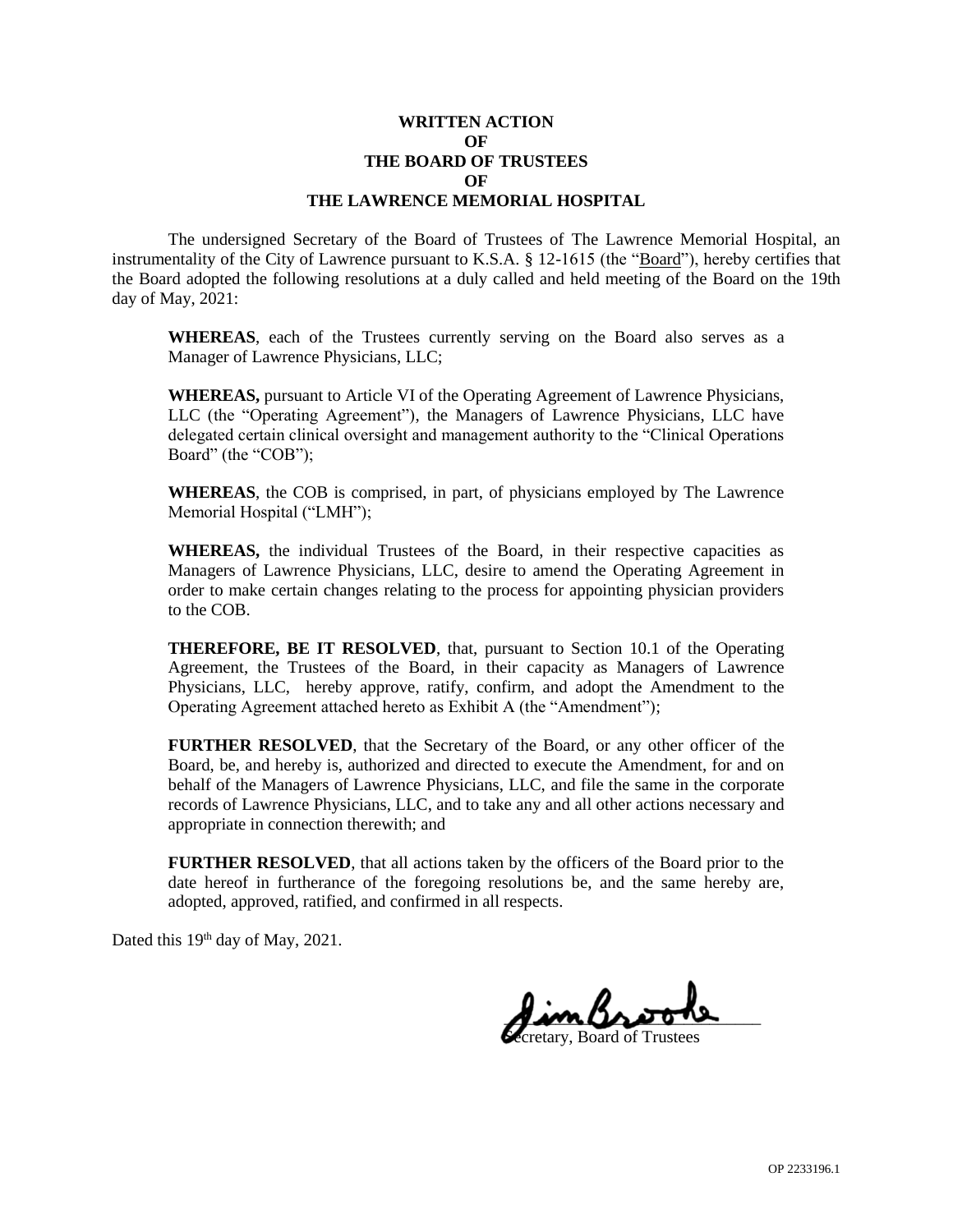### **WRITTEN ACTION OF THE BOARD OF TRUSTEES OF THE LAWRENCE MEMORIAL HOSPITAL**

The undersigned Secretary of the Board of Trustees of The Lawrence Memorial Hospital, an instrumentality of the City of Lawrence pursuant to K.S.A. § 12-1615 (the "Board"), hereby certifies that the Board adopted the following resolutions at a duly called and held meeting of the Board on the 19th day of May, 2021:

**WHEREAS**, each of the Trustees currently serving on the Board also serves as a Manager of Lawrence Physicians, LLC;

**WHEREAS,** pursuant to Article VI of the Operating Agreement of Lawrence Physicians, LLC (the "Operating Agreement"), the Managers of Lawrence Physicians, LLC have delegated certain clinical oversight and management authority to the "Clinical Operations Board" (the "COB");

**WHEREAS**, the COB is comprised, in part, of physicians employed by The Lawrence Memorial Hospital ("LMH");

**WHEREAS,** the individual Trustees of the Board, in their respective capacities as Managers of Lawrence Physicians, LLC, desire to amend the Operating Agreement in order to make certain changes relating to the process for appointing physician providers to the COB.

**THEREFORE, BE IT RESOLVED**, that, pursuant to Section 10.1 of the Operating Agreement, the Trustees of the Board, in their capacity as Managers of Lawrence Physicians, LLC, hereby approve, ratify, confirm, and adopt the Amendment to the Operating Agreement attached hereto as Exhibit A (the "Amendment");

**FURTHER RESOLVED**, that the Secretary of the Board, or any other officer of the Board, be, and hereby is, authorized and directed to execute the Amendment, for and on behalf of the Managers of Lawrence Physicians, LLC, and file the same in the corporate records of Lawrence Physicians, LLC, and to take any and all other actions necessary and appropriate in connection therewith; and

**FURTHER RESOLVED**, that all actions taken by the officers of the Board prior to the date hereof in furtherance of the foregoing resolutions be, and the same hereby are, adopted, approved, ratified, and confirmed in all respects.

Dated this 19<sup>th</sup> day of May, 2021.

 $\frac{1}{2}$ Secretary, Board of Trustees

OP 2233196.1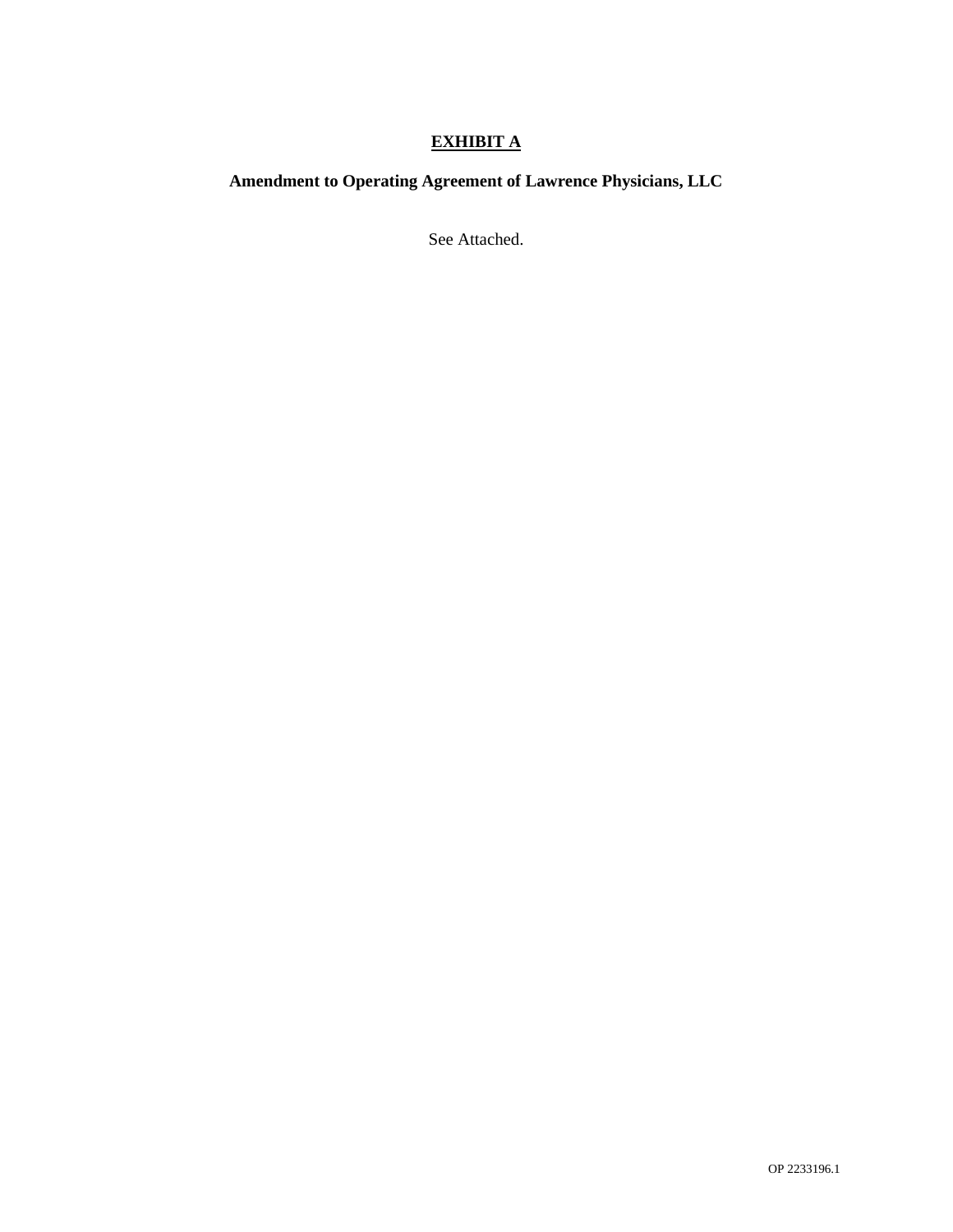# **EXHIBIT A**

# **Amendment to Operating Agreement of Lawrence Physicians, LLC**

See Attached.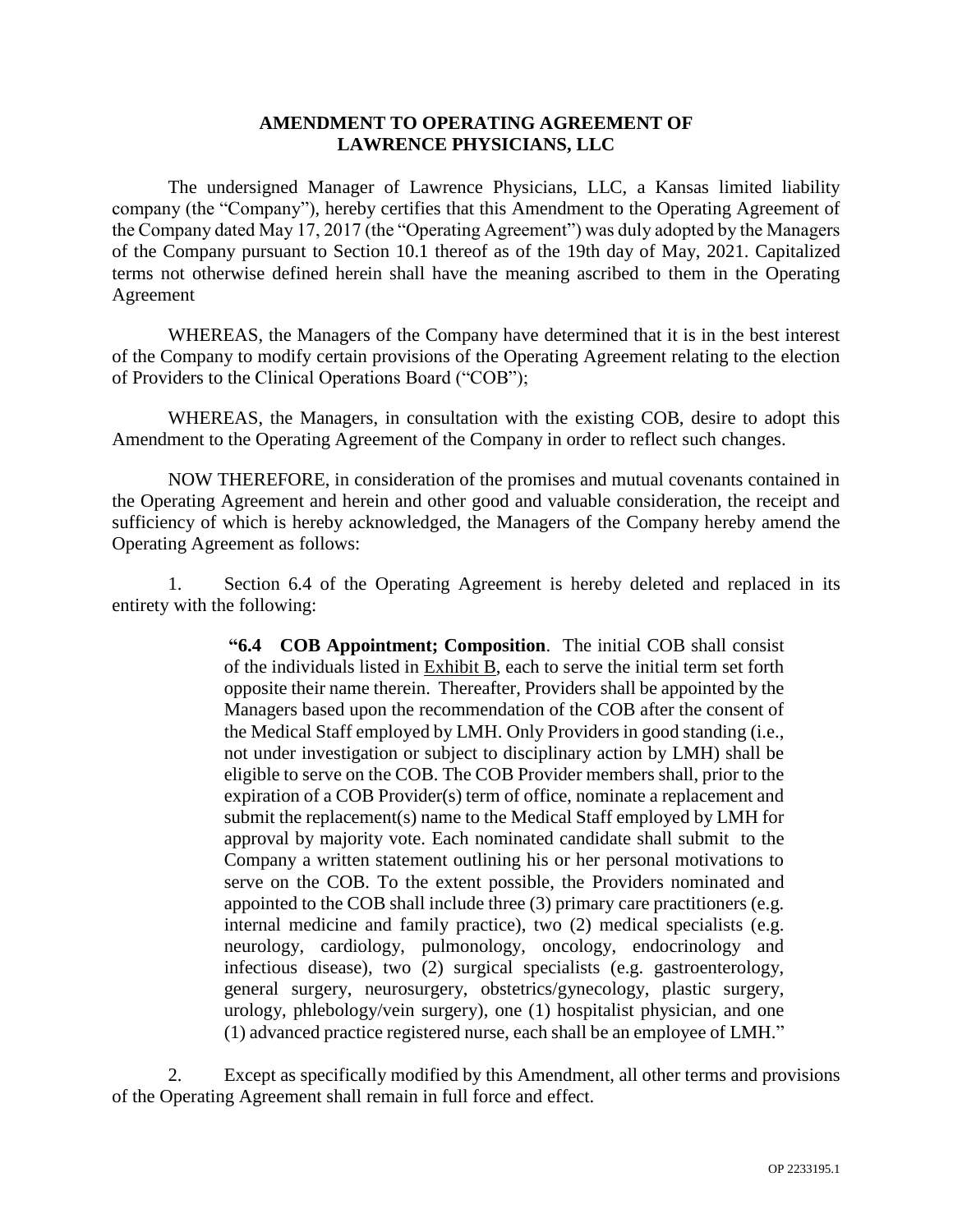## **AMENDMENT TO OPERATING AGREEMENT OF LAWRENCE PHYSICIANS, LLC**

The undersigned Manager of Lawrence Physicians, LLC, a Kansas limited liability company (the "Company"), hereby certifies that this Amendment to the Operating Agreement of the Company dated May 17, 2017 (the "Operating Agreement") was duly adopted by the Managers of the Company pursuant to Section 10.1 thereof as of the 19th day of May, 2021. Capitalized terms not otherwise defined herein shall have the meaning ascribed to them in the Operating Agreement

WHEREAS, the Managers of the Company have determined that it is in the best interest of the Company to modify certain provisions of the Operating Agreement relating to the election of Providers to the Clinical Operations Board ("COB");

WHEREAS, the Managers, in consultation with the existing COB, desire to adopt this Amendment to the Operating Agreement of the Company in order to reflect such changes.

NOW THEREFORE, in consideration of the promises and mutual covenants contained in the Operating Agreement and herein and other good and valuable consideration, the receipt and sufficiency of which is hereby acknowledged, the Managers of the Company hereby amend the Operating Agreement as follows:

1. Section 6.4 of the Operating Agreement is hereby deleted and replaced in its entirety with the following:

> **"6.4 COB Appointment; Composition**. The initial COB shall consist of the individuals listed in  $Exhibit B$ , each to serve the initial term set forth opposite their name therein. Thereafter, Providers shall be appointed by the Managers based upon the recommendation of the COB after the consent of the Medical Staff employed by LMH. Only Providers in good standing (i.e., not under investigation or subject to disciplinary action by LMH) shall be eligible to serve on the COB. The COB Provider members shall, prior to the expiration of a COB Provider(s) term of office, nominate a replacement and submit the replacement(s) name to the Medical Staff employed by LMH for approval by majority vote. Each nominated candidate shall submit to the Company a written statement outlining his or her personal motivations to serve on the COB. To the extent possible, the Providers nominated and appointed to the COB shall include three (3) primary care practitioners (e.g. internal medicine and family practice), two (2) medical specialists (e.g. neurology, cardiology, pulmonology, oncology, endocrinology and infectious disease), two (2) surgical specialists (e.g. gastroenterology, general surgery, neurosurgery, obstetrics/gynecology, plastic surgery, urology, phlebology/vein surgery), one (1) hospitalist physician, and one (1) advanced practice registered nurse, each shall be an employee of LMH."

2. Except as specifically modified by this Amendment, all other terms and provisions of the Operating Agreement shall remain in full force and effect.